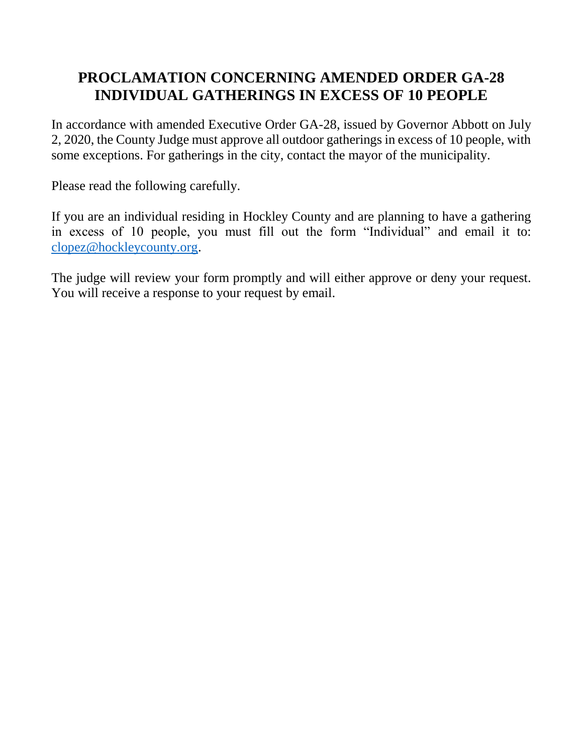## **PROCLAMATION CONCERNING AMENDED ORDER GA-28 INDIVIDUAL GATHERINGS IN EXCESS OF 10 PEOPLE**

In accordance with amended Executive Order GA-28, issued by Governor Abbott on July 2, 2020, the County Judge must approve all outdoor gatherings in excess of 10 people, with some exceptions. For gatherings in the city, contact the mayor of the municipality.

Please read the following carefully.

If you are an individual residing in Hockley County and are planning to have a gathering in excess of 10 people, you must fill out the form "Individual" and email it to: [clopez@hockleycounty.org.](mailto:clopez@hockleycounty.org)

The judge will review your form promptly and will either approve or deny your request. You will receive a response to your request by email.